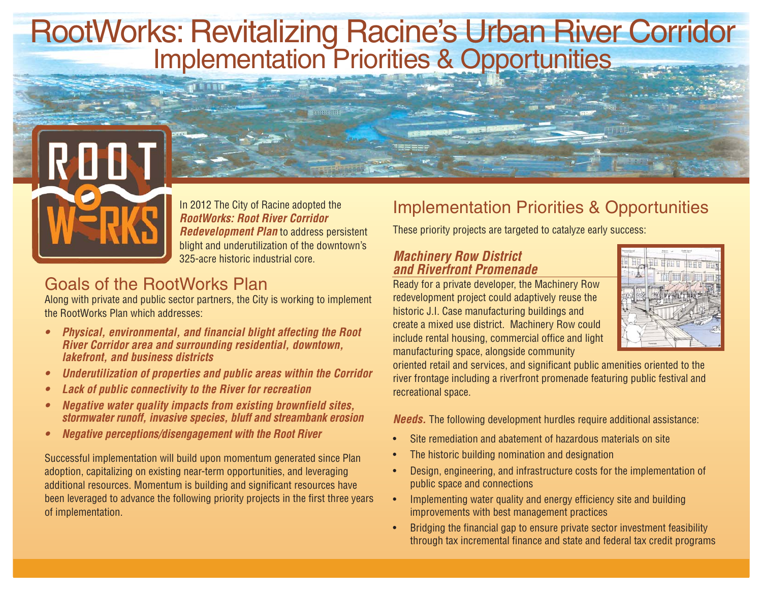# RootWorks: Revitalizing Racine's Urban River Corridor<br>Implementation Priorities & Opportunities



In 2012 The City of Racine adopted the **RootWorks: Root River Corridor Redevelopment Plan** to address persistent blight and underutilization of the downtown's 325-acre historic industrial core.

## Goals of the RootWorks Plan

Along with private and public sector partners, the City is working to implement the RootWorks Plan which addresses:

- **• Physical, environmental, and financial blight affecting the Root River Corridor area and surrounding residential, downtown, lakefront, and business districts**
- **• Underutilization of properties and public areas within the Corridor**
- **• Lack of public connectivity to the River for recreation**
- **• Negative water quality impacts from existing brownfield sites, stormwater runoff, invasive species, bluff and streambank erosion**
- **• Negative perceptions/disengagement with the Root River**

Successful implementation will build upon momentum generated since Plan adoption, capitalizing on existing near-term opportunities, and leveraging additional resources. Momentum is building and significant resources have been leveraged to advance the following priority projects in the first three years of implementation.

## Implementation Priorities & Opportunities

These priority projects are targeted to catalyze early success:

#### **Machinery Row District and Riverfront Promenade**

Ready for a private developer, the Machinery Row redevelopment project could adaptively reuse the historic J.I. Case manufacturing buildings and create a mixed use district. Machinery Row could include rental housing, commercial office and light manufacturing space, alongside community



oriented retail and services, and significant public amenities oriented to the river frontage including a riverfront promenade featuring public festival and recreational space.

**Needs.** The following development hurdles require additional assistance:

- •Site remediation and abatement of hazardous materials on site
- •The historic building nomination and designation
- • Design, engineering, and infrastructure costs for the implementation of public space and connections
- • Implementing water quality and energy efficiency site and building improvements with best management practices
- • Bridging the financial gap to ensure private sector investment feasibility through tax incremental finance and state and federal tax credit programs